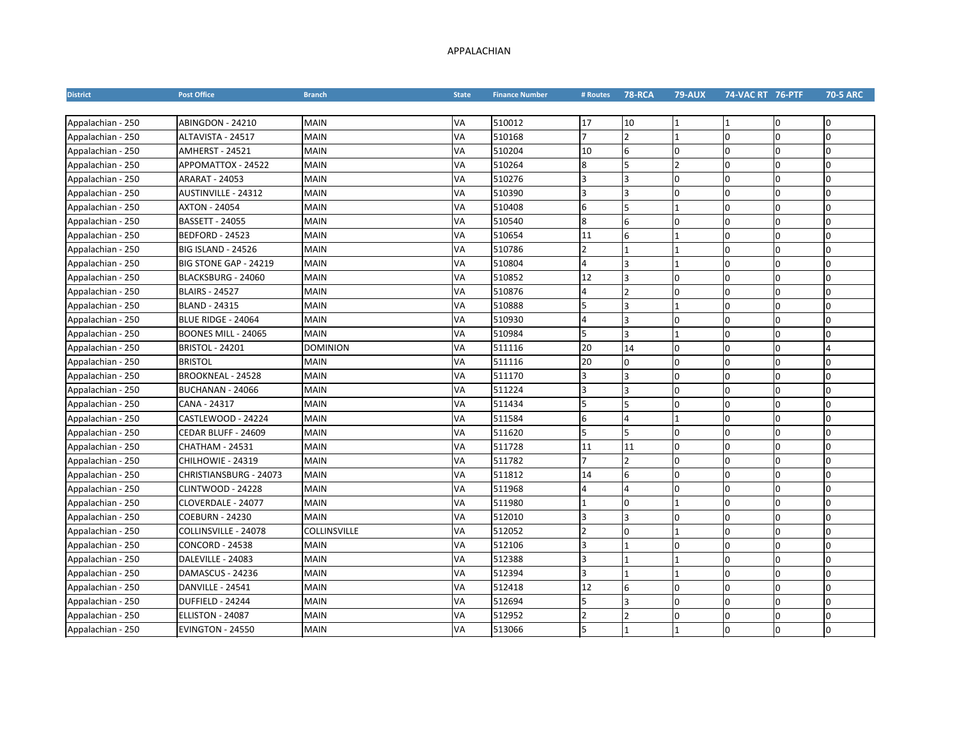## APPALACHIAN

| <b>District</b>   | <b>Post Office</b>        | <b>Branch</b>   | <b>State</b> | <b>Finance Number</b> | # Routes | <b>78-RCA</b>  | <b>79-AUX</b>  | 74-VAC RT 76-PTF |                | <b>70-5 ARC</b> |
|-------------------|---------------------------|-----------------|--------------|-----------------------|----------|----------------|----------------|------------------|----------------|-----------------|
|                   |                           |                 |              |                       |          |                |                |                  |                |                 |
| Appalachian - 250 | ABINGDON - 24210          | <b>MAIN</b>     | VA           | 510012                | 17       | 10             | 1              |                  | O              | $\Omega$        |
| Appalachian - 250 | ALTAVISTA - 24517         | <b>MAIN</b>     | VA           | 510168                |          | 2              | $\overline{1}$ | 0                | <sup>0</sup>   | 0               |
| Appalachian - 250 | AMHERST - 24521           | <b>MAIN</b>     | VA           | 510204                | 10       | 6              | $\overline{0}$ | 0                | $\overline{0}$ | $\Omega$        |
| Appalachian - 250 | APPOMATTOX - 24522        | <b>MAIN</b>     | VA           | 510264                | 8        | 5              | $\overline{2}$ | 0                | $\overline{0}$ | $\Omega$        |
| Appalachian - 250 | <b>ARARAT - 24053</b>     | <b>MAIN</b>     | VA           | 510276                |          | 3              | l0             | $\Omega$         | $\Omega$       | l0              |
| Appalachian - 250 | AUSTINVILLE - 24312       | <b>MAIN</b>     | VA           | 510390                |          | 3              | O              | 0                | l0             | l0              |
| Appalachian - 250 | <b>AXTON - 24054</b>      | <b>MAIN</b>     | VA           | 510408                | 6        | 5              | $\overline{1}$ | $\Omega$         | $\Omega$       | $\Omega$        |
| Appalachian - 250 | <b>BASSETT - 24055</b>    | <b>MAIN</b>     | VA           | 510540                | 8        | 6              | $\overline{0}$ | $\Omega$         | $\overline{0}$ | $\Omega$        |
| Appalachian - 250 | <b>BEDFORD - 24523</b>    | <b>MAIN</b>     | VA           | 510654                | 11       | 6              | $\overline{1}$ | U                | $\overline{0}$ | $\Omega$        |
| Appalachian - 250 | <b>BIG ISLAND - 24526</b> | <b>MAIN</b>     | VA           | 510786                |          |                | $\overline{1}$ | $\Omega$         | $\overline{0}$ | <sup>0</sup>    |
| Appalachian - 250 | BIG STONE GAP - 24219     | <b>MAIN</b>     | VA           | 510804                |          | 3              | $\overline{1}$ | $\Omega$         | l0             | $\Omega$        |
| Appalachian - 250 | BLACKSBURG - 24060        | <b>MAIN</b>     | VA           | 510852                | 12       | 3              | $\Omega$       | $\Omega$         | $\overline{0}$ | <sup>0</sup>    |
| Appalachian - 250 | <b>BLAIRS - 24527</b>     | <b>MAIN</b>     | VA           | 510876                | 4        | $\mathfrak{p}$ | $\overline{0}$ | $\Omega$         | l0             | <sup>0</sup>    |
| Appalachian - 250 | <b>BLAND - 24315</b>      | <b>MAIN</b>     | VA           | 510888                |          | 3              | $\overline{1}$ | 0                | $\overline{0}$ | <sup>0</sup>    |
| Appalachian - 250 | BLUE RIDGE - 24064        | <b>MAIN</b>     | VA           | 510930                |          | 3              | l0             | $\Omega$         | l0             | $\Omega$        |
| Appalachian - 250 | BOONES MILL - 24065       | <b>MAIN</b>     | VA           | 510984                |          | 3              | $\overline{1}$ | $\Omega$         | $\overline{0}$ | $\Omega$        |
| Appalachian - 250 | <b>BRISTOL - 24201</b>    | <b>DOMINION</b> | VA           | 511116                | 20       | 14             | $\Omega$       | $\Omega$         | l0             | 4               |
| Appalachian - 250 | <b>BRISTOL</b>            | <b>MAIN</b>     | VA           | 511116                | 20       | 0              | $\Omega$       | $\Omega$         | l0             | $\overline{0}$  |
| Appalachian - 250 | <b>BROOKNEAL - 24528</b>  | <b>MAIN</b>     | VA           | 511170                |          | 3              | $\overline{0}$ | U                | l0             | <sup>0</sup>    |
| Appalachian - 250 | BUCHANAN - 24066          | MAIN            | VA           | 511224                | 3        | 3              | $\overline{0}$ | U                | $\overline{0}$ | <sup>0</sup>    |
| Appalachian - 250 | CANA - 24317              | <b>MAIN</b>     | VA           | 511434                |          | 5              | $\Omega$       | $\Omega$         | $\Omega$       | <sup>0</sup>    |
| Appalachian - 250 | CASTLEWOOD - 24224        | <b>MAIN</b>     | VA           | 511584                | 6        | 4              | $\overline{1}$ | 0                | O              | $\Omega$        |
| Appalachian - 250 | CEDAR BLUFF - 24609       | <b>MAIN</b>     | VA           | 511620                | 5        | 5              | $\Omega$       | $\Omega$         | l0             | n.              |
| Appalachian - 250 | <b>CHATHAM - 24531</b>    | <b>MAIN</b>     | VA           | 511728                | 11       | 11             | $\overline{0}$ | 0                | $\overline{0}$ | $\Omega$        |
| Appalachian - 250 | CHILHOWIE - 24319         | <b>MAIN</b>     | VA           | 511782                | 7        | $\mathfrak{p}$ | $\overline{0}$ | $\Omega$         | $\overline{0}$ | $\Omega$        |
| Appalachian - 250 | CHRISTIANSBURG - 24073    | <b>MAIN</b>     | VA           | 511812                | 14       | 6              | $\overline{0}$ | 0                | $\overline{0}$ | <sup>o</sup>    |
| Appalachian - 250 | <b>CLINTWOOD - 24228</b>  | <b>MAIN</b>     | VA           | 511968                |          | Δ              | $\overline{0}$ | $\Omega$         | $\Omega$       | <sup>n</sup>    |
| Appalachian - 250 | CLOVERDALE - 24077        | <b>MAIN</b>     | VA           | 511980                |          | n              | $\mathbf{1}$   | $\Omega$         | $\Omega$       | n.              |
| Appalachian - 250 | <b>COEBURN - 24230</b>    | <b>MAIN</b>     | VA           | 512010                | ς        | 3              | $\overline{0}$ | $\Omega$         | $\Omega$       | $\Omega$        |
| Appalachian - 250 | COLLINSVILLE - 24078      | COLLINSVILLE    | VA           | 512052                |          | U              | $\overline{1}$ | $\Omega$         | $\overline{0}$ | $\Omega$        |
| Appalachian - 250 | <b>CONCORD - 24538</b>    | <b>MAIN</b>     | VA           | 512106                |          |                | l0             | U                | $\overline{0}$ | <sup>0</sup>    |
| Appalachian - 250 | DALEVILLE - 24083         | MAIN            | VA           | 512388                |          |                | $\mathbf{1}$   | $\Omega$         | l0             | l0              |
| Appalachian - 250 | DAMASCUS - 24236          | <b>MAIN</b>     | VA           | 512394                |          |                | $\overline{1}$ | $\Omega$         | l0             | <sup>n</sup>    |
| Appalachian - 250 | DANVILLE - 24541          | <b>MAIN</b>     | VA           | 512418                | 12       | 6              | $\Omega$       | $\Omega$         | l0             | <sup>0</sup>    |
| Appalachian - 250 | DUFFIELD - 24244          | <b>MAIN</b>     | VA           | 512694                |          | ς              | $\overline{0}$ | $\Omega$         | l0             | l0              |
| Appalachian - 250 | ELLISTON - 24087          | MAIN            | VA           | 512952                |          |                | 0              | n                | $\Omega$       |                 |
| Appalachian - 250 | <b>EVINGTON - 24550</b>   | <b>MAIN</b>     | VA           | 513066                |          |                |                | $\Omega$         | l0             | $\Omega$        |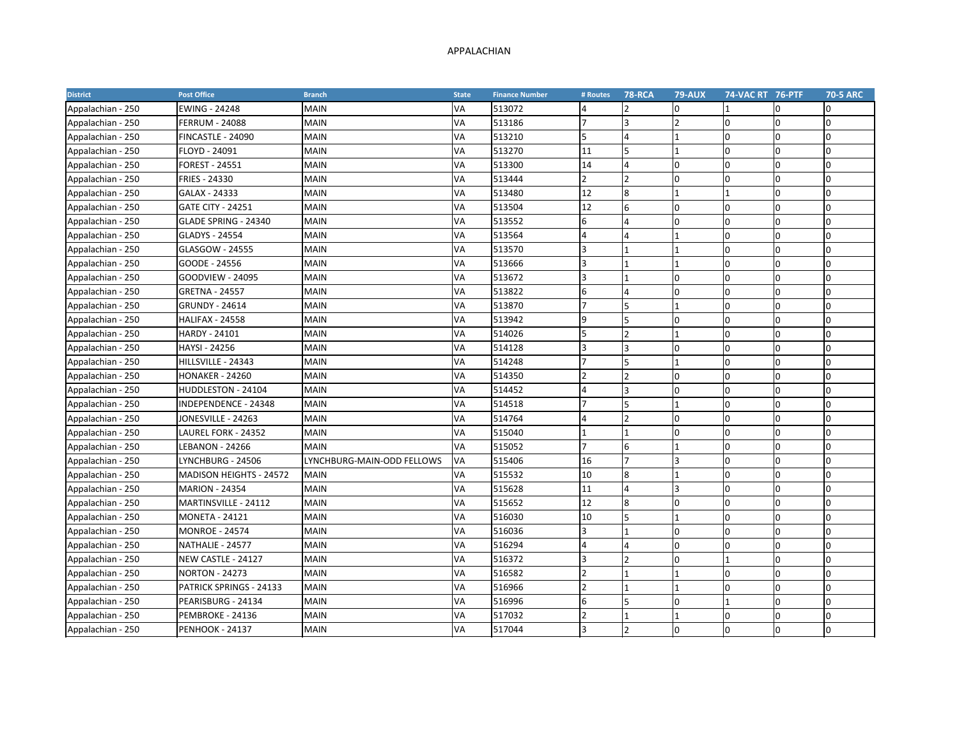## APPALACHIAN

| <b>District</b>   | <b>Post Office</b>             | <b>Branch</b>              | <b>State</b> | <b>Finance Number</b> | # Routes                 | <b>78-RCA</b>           | <b>79-AUX</b>  | 74-VAC RT 76-PTF |              | <b>70-5 ARC</b> |
|-------------------|--------------------------------|----------------------------|--------------|-----------------------|--------------------------|-------------------------|----------------|------------------|--------------|-----------------|
| Appalachian - 250 | <b>EWING - 24248</b>           | <b>MAIN</b>                | VA           | 513072                | 4                        |                         | $\overline{0}$ |                  |              | 0               |
| Appalachian - 250 | <b>FERRUM - 24088</b>          | <b>MAIN</b>                | VA           | 513186                |                          |                         | $\overline{2}$ | l0               |              | $\overline{0}$  |
| Appalachian - 250 | FINCASTLE - 24090              | <b>MAIN</b>                | VA           | 513210                | 5                        |                         | $\mathbf{1}$   | $\Omega$         | U            | $\Omega$        |
| Appalachian - 250 | FLOYD - 24091                  | <b>MAIN</b>                | VA           | 513270                | 11                       |                         | $\mathbf{1}$   | $\Omega$         | $\Omega$     | $\overline{0}$  |
| Appalachian - 250 | <b>FOREST - 24551</b>          | <b>MAIN</b>                | VA           | 513300                | 14                       | 4                       | 0              | $\Omega$         | $\Omega$     | <sup>o</sup>    |
| Appalachian - 250 | FRIES - 24330                  | <b>MAIN</b>                | VA           | 513444                | $\overline{2}$           |                         | $\Omega$       | n                | 0            | <sup>0</sup>    |
| Appalachian - 250 | GALAX - 24333                  | <b>MAIN</b>                | VA           | 513480                | 12                       | 8                       | $\mathbf{1}$   |                  | $\Omega$     | $\Omega$        |
| Appalachian - 250 | <b>GATE CITY - 24251</b>       | <b>MAIN</b>                | VA           | 513504                | 12                       | 6                       | 0              | n                | n            | <sup>0</sup>    |
| Appalachian - 250 | GLADE SPRING - 24340           | <b>MAIN</b>                | VA           | 513552                | 6                        |                         | 0              | $\Omega$         | $\Omega$     | <sup>0</sup>    |
| Appalachian - 250 | GLADYS - 24554                 | MAIN                       | VA           | 513564                | 4                        |                         | $\mathbf{1}$   | $\Omega$         | $\Omega$     | $\Omega$        |
| Appalachian - 250 | GLASGOW - 24555                | <b>MAIN</b>                | VA           | 513570                | 3                        |                         | $\mathbf{1}$   | $\Omega$         | 0            | l0              |
| Appalachian - 250 | GOODE - 24556                  | <b>MAIN</b>                | VA           | 513666                | 3                        |                         | 1              | $\Omega$         | $\Omega$     | <sup>0</sup>    |
| Appalachian - 250 | <b>GOODVIEW - 24095</b>        | <b>MAIN</b>                | VA           | 513672                | 3                        |                         | 0              | n                | 0            | <sup>o</sup>    |
| Appalachian - 250 | <b>GRETNA - 24557</b>          | <b>MAIN</b>                | VA           | 513822                | 6                        |                         | $\overline{0}$ | $\Omega$         | $\Omega$     | $\Omega$        |
| Appalachian - 250 | <b>GRUNDY - 24614</b>          | <b>MAIN</b>                | VA           | 513870                |                          |                         | $\mathbf{1}$   | $\Omega$         | U            | <sup>o</sup>    |
| Appalachian - 250 | <b>HALIFAX - 24558</b>         | <b>MAIN</b>                | VA           | 513942                | 9                        |                         | 0              | $\Omega$         | $\Omega$     | <sup>o</sup>    |
| Appalachian - 250 | HARDY - 24101                  | <b>MAIN</b>                | VA           | 514026                | 5                        |                         | $\mathbf{1}$   |                  | <sup>0</sup> | <sup>0</sup>    |
| Appalachian - 250 | HAYSI - 24256                  | <b>MAIN</b>                | VA           | 514128                | 3                        |                         | $\overline{0}$ | n                | 0            | 0               |
| Appalachian - 250 | HILLSVILLE - 24343             | <b>MAIN</b>                | VA           | 514248                |                          | 5                       | $\mathbf{1}$   | n                | <sup>0</sup> | <sup>0</sup>    |
| Appalachian - 250 | <b>HONAKER - 24260</b>         | <b>MAIN</b>                | VA           | 514350                | $\overline{\phantom{a}}$ |                         | 0              | $\Omega$         | $\Omega$     | <sup>0</sup>    |
| Appalachian - 250 | HUDDLESTON - 24104             | <b>MAIN</b>                | VA           | 514452                | 4                        |                         | 0              | $\Omega$         | $\Omega$     | <sup>o</sup>    |
| Appalachian - 250 | INDEPENDENCE - 24348           | <b>MAIN</b>                | VA           | 514518                | 7                        |                         | $\overline{1}$ | $\Omega$         | n.           | $\Omega$        |
| Appalachian - 250 | JONESVILLE - 24263             | <b>MAIN</b>                | VA           | 514764                | 4                        | 2                       | $\overline{0}$ | $\Omega$         | 0            | l0              |
| Appalachian - 250 | LAUREL FORK - 24352            | <b>MAIN</b>                | VA           | 515040                | 1                        |                         | $\Omega$       | $\Omega$         | 0            | <sup>o</sup>    |
| Appalachian - 250 | <b>LEBANON - 24266</b>         | <b>MAIN</b>                | VA           | 515052                |                          | 6                       | $\mathbf{1}$   | $\Omega$         | $\Omega$     | $\Omega$        |
| Appalachian - 250 | LYNCHBURG - 24506              | LYNCHBURG-MAIN-ODD FELLOWS | VA           | 515406                | 16                       |                         | 3              | $\Omega$         | $\Omega$     | <sup>o</sup>    |
| Appalachian - 250 | <b>MADISON HEIGHTS - 24572</b> | <b>MAIN</b>                | VA           | 515532                | 10                       | $\mathsf{\overline{8}}$ | 1              | $\Omega$         | <sup>0</sup> | <sup>o</sup>    |
| Appalachian - 250 | <b>MARION - 24354</b>          | <b>MAIN</b>                | VA           | 515628                | 11                       |                         | 3              | $\Omega$         | 0            | $\overline{0}$  |
| Appalachian - 250 | MARTINSVILLE - 24112           | <b>MAIN</b>                | VA           | 515652                | 12                       | 8                       | $\overline{0}$ | $\Omega$         | 0            | <sup>0</sup>    |
| Appalachian - 250 | <b>MONETA - 24121</b>          | <b>MAIN</b>                | VA           | 516030                | 10                       |                         | 1              | n                | <sup>0</sup> | <sup>0</sup>    |
| Appalachian - 250 | <b>MONROE - 24574</b>          | <b>MAIN</b>                | VA           | 516036                | 3                        |                         | 0              | n                | n            | <sup>o</sup>    |
| Appalachian - 250 | NATHALIE - 24577               | <b>MAIN</b>                | VA           | 516294                | 4                        |                         | 0              | $\Omega$         | U            | <sup>0</sup>    |
| Appalachian - 250 | NEW CASTLE - 24127             | <b>MAIN</b>                | VA           | 516372                | 3                        |                         | $\Omega$       |                  | $\Omega$     | <sup>0</sup>    |
| Appalachian - 250 | <b>NORTON - 24273</b>          | <b>MAIN</b>                | VA           | 516582                | $\mathfrak{p}$           |                         | $\mathbf{1}$   | $\Omega$         | 0            | <sup>o</sup>    |
| Appalachian - 250 | PATRICK SPRINGS - 24133        | <b>MAIN</b>                | VA           | 516966                | 2                        |                         | 1              | $\Omega$         | 0            | <sup>0</sup>    |
| Appalachian - 250 | PEARISBURG - 24134             | <b>MAIN</b>                | VA           | 516996                | 6                        |                         | l0             |                  | $\Omega$     | $\Omega$        |
| Appalachian - 250 | PEMBROKE - 24136               | <b>MAIN</b>                | VA           | 517032                | $\mathfrak{p}$           |                         | $\mathbf{1}$   | 0                | n            | <sup>o</sup>    |
| Appalachian - 250 | <b>PENHOOK - 24137</b>         | <b>MAIN</b>                | VA           | 517044                | 3                        |                         | 0              | $\Omega$         | n            | $\Omega$        |